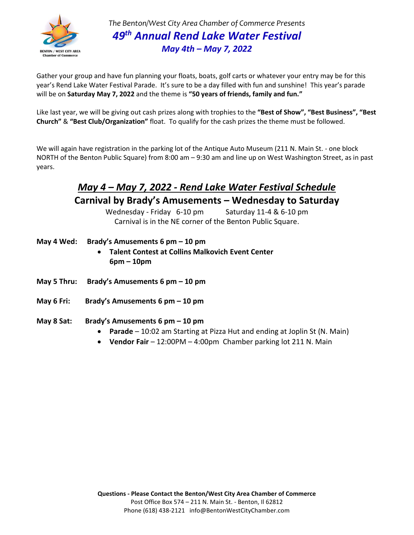

*The Benton/West City Area Chamber of Commerce Presents 49 th Annual Rend Lake Water Festival May 4th – May 7, 2022*

Gather your group and have fun planning your floats, boats, golf carts or whatever your entry may be for this year's Rend Lake Water Festival Parade. It's sure to be a day filled with fun and sunshine! This year's parade will be on **Saturday May 7, 2022** and the theme is **"50 years of friends, family and fun."**

Like last year, we will be giving out cash prizes along with trophies to the **"Best of Show", "Best Business", "Best Church"** & **"Best Club/Organization"** float. To qualify for the cash prizes the theme must be followed.

We will again have registration in the parking lot of the Antique Auto Museum (211 N. Main St. - one block NORTH of the Benton Public Square) from 8:00 am – 9:30 am and line up on West Washington Street, as in past years.

## *May 4 – May 7, 2022 - Rend Lake Water Festival Schedule* **Carnival by Brady's Amusements – Wednesday to Saturday**

Wednesday - Friday 6-10 pm Saturday 11-4 & 6-10 pm Carnival is in the NE corner of the Benton Public Square.

- **May 4 Wed: Brady's Amusements 6 pm – 10 pm**
	- **Talent Contest at Collins Malkovich Event Center 6pm – 10pm**
- **May 5 Thru: Brady's Amusements 6 pm – 10 pm**
- **May 6 Fri: Brady's Amusements 6 pm – 10 pm**
- **May 8 Sat: Brady's Amusements 6 pm – 10 pm**
	- **Parade** 10:02 am Starting at Pizza Hut and ending at Joplin St (N. Main)
	- **Vendor Fair**  12:00PM 4:00pm Chamber parking lot 211 N. Main